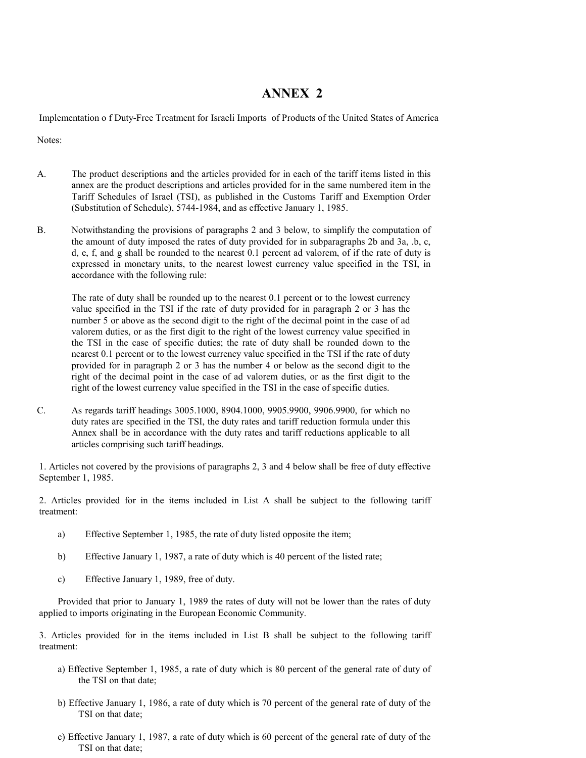## ANNEX 2

Implementation o f Duty-Free Treatment for Israeli Imports of Products of the United States of America

Notes:

- A. The product descriptions and the articles provided for in each of the tariff items listed in this annex are the product descriptions and articles provided for in the same numbered item in the Tariff Schedules of Israel (TSI), as published in the Customs Tariff and Exemption Order (Substitution of Schedule), 5744-1984, and as effective January 1, 1985.
- B. Notwithstanding the provisions of paragraphs 2 and 3 below, to simplify the computation of the amount of duty imposed the rates of duty provided for in subparagraphs 2b and 3a, .b, c, d, e, f, and g shall be rounded to the nearest 0.1 percent ad valorem, of if the rate of duty is expressed in monetary units, to the nearest lowest currency value specified in the TSI, in accordance with the following rule:

The rate of duty shall be rounded up to the nearest 0.1 percent or to the lowest currency value specified in the TSI if the rate of duty provided for in paragraph 2 or 3 has the number 5 or above as the second digit to the right of the decimal point in the case of ad valorem duties, or as the first digit to the right of the lowest currency value specified in the TSI in the case of specific duties; the rate of duty shall be rounded down to the nearest 0.1 percent or to the lowest currency value specified in the TSI if the rate of duty provided for in paragraph 2 or 3 has the number 4 or below as the second digit to the right of the decimal point in the case of ad valorem duties, or as the first digit to the right of the lowest currency value specified in the TSI in the case of specific duties.

C. As regards tariff headings 3005.1000, 8904.1000, 9905.9900, 9906.9900, for which no duty rates are specified in the TSI, the duty rates and tariff reduction formula under this Annex shall be in accordance with the duty rates and tariff reductions applicable to all articles comprising such tariff headings.

1. Articles not covered by the provisions of paragraphs 2, 3 and 4 below shall be free of duty effective September 1, 1985.

2. Articles provided for in the items included in List A shall be subject to the following tariff treatment:

- a) Effective September 1, 1985, the rate of duty listed opposite the item;
- b) Effective January 1, 1987, a rate of duty which is 40 percent of the listed rate;
- c) Effective January 1, 1989, free of duty.

 Provided that prior to January 1, 1989 the rates of duty will not be lower than the rates of duty applied to imports originating in the European Economic Community.

3. Articles provided for in the items included in List B shall be subject to the following tariff treatment:

- a) Effective September 1, 1985, a rate of duty which is 80 percent of the general rate of duty of the TSI on that date;
- b) Effective January 1, 1986, a rate of duty which is 70 percent of the general rate of duty of the TSI on that date;
- c) Effective January 1, 1987, a rate of duty which is 60 percent of the general rate of duty of the TSI on that date;